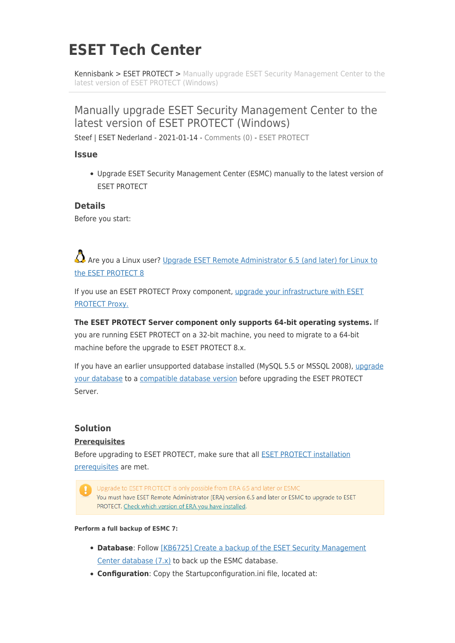# **ESET Tech Center**

[Kennisbank](https://techcenter.eset.nl/nl/kb) > [ESET PROTECT](https://techcenter.eset.nl/nl/kb/eset-protect) > [Manually upgrade ESET Security Management Center to the](https://techcenter.eset.nl/nl/kb/articles/manually-upgrade-eset-security-management-center-to-the-latest-version-of-eset-protect-windows) [latest version of ESET PROTECT \(Windows\)](https://techcenter.eset.nl/nl/kb/articles/manually-upgrade-eset-security-management-center-to-the-latest-version-of-eset-protect-windows)

# Manually upgrade ESET Security Management Center to the latest version of ESET PROTECT (Windows)

Steef | ESET Nederland - 2021-01-14 - [Comments \(0\)](#page--1-0) - [ESET PROTECT](https://techcenter.eset.nl/nl/kb/eset-protect)

#### **Issue**

Upgrade ESET Security Management Center (ESMC) manually to the latest version of ESET PROTECT

#### **Details**

Before you start:

Are vou a Linux user? [Upgrade ESET Remote Administrator 6.5 \(and later\) for Linux to](https://support.eset.com/en/kb7733-upgrade-eset-remote-administrator-65-and-later-for-linux-to-the-eset-protect-8) [the ESET PROTECT 8](https://support.eset.com/en/kb7733-upgrade-eset-remote-administrator-65-and-later-for-linux-to-the-eset-protect-8)

If you use an ESET PROTECT Proxy component, [upgrade your infrastructure with ESET](https://help.eset.com/protect_install/latest/en-US/upgrade_infrastructure_proxy.html) [PROTECT Proxy.](https://help.eset.com/protect_install/latest/en-US/upgrade_infrastructure_proxy.html)

**The ESET PROTECT Server component only supports 64-bit operating systems.** If you are running ESET PROTECT on a 32-bit machine, you need to migrate to a 64-bit machine before the upgrade to ESET PROTECT 8.x.

If you have an earlier unsupported database installed (MySQL 5.5 or MSSQL 2008), [upgrade](https://help.eset.com/protect_install/latest/en-US/db_upgrade.html) [your database](https://help.eset.com/protect_install/latest/en-US/db_upgrade.html) to a [compatible database version](https://help.eset.com/protect_install/latest/en-US/database_requirements.html) before upgrading the ESET PROTECT Server.

### **Solution**

#### **Prerequisites**

Before upgrading to ESET PROTECT, make sure that all [ESET PROTECT installation](https://help.eset.com/protect_install/latest/en-US/prerequisites_server_windows.html) [prerequisites](https://help.eset.com/protect_install/latest/en-US/prerequisites_server_windows.html) are met.

Upgrade to ESET PROTECT is only possible from ERA 6.5 and later or ESMC You must have ESET Remote Administrator (ERA) version 6.5 and later or ESMC to upgrade to ESET PROTECT. Check which version of ERA you have installed.

**Perform a full backup of ESMC 7:**

- **Database**: Follow [\[KB6725\] Create a backup of the ESET Security Management](https://support.eset.com/en/kb6725-create-a-backup-of-the-eset-security-management-center-database-7x) [Center database \(7.x\)](https://support.eset.com/en/kb6725-create-a-backup-of-the-eset-security-management-center-database-7x) to back up the ESMC database.
- **Configuration**: Copy the Startupconfiguration.ini file, located at: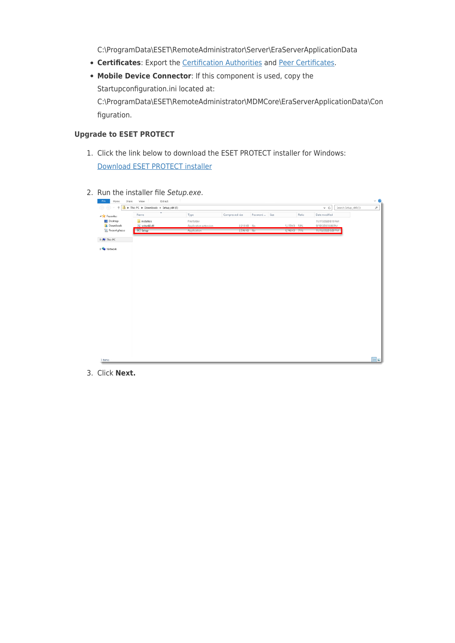C:\ProgramData\ESET\RemoteAdministrator\Server\EraServerApplicationData

- **Certificates**: Export the [Certification Authorities](https://help.eset.com/getHelp?product=esmc_admin&version=latest&lang=en-US&topic=export_a_public_key) and [Peer Certificates.](https://help.eset.com/getHelp?product=esmc_admin&version=latest&lang=en-US&topic=export_certificate)
- **Mobile Device Connector**: If this component is used, copy the Startupconfiguration.ini located at: C:\ProgramData\ESET\RemoteAdministrator\MDMCore\EraServerApplicationData\Con figuration.

#### **Upgrade to ESET PROTECT**

- 1. Click the link below to download the ESET PROTECT installer for Windows: [Download ESET PROTECT installer](https://www.eset.com/int/business/download/eset-protect)
- 2. Run the installer file Setup.exe.

| $\circledcirc$ - $\uparrow$<br>B  | > This PC > Downloads > Setup_x64 (1) |                       |                 |               |              | $\times$ 0         | Search Setup_x64 (1) | $\mathrel{\mathcal{A}}$ |
|-----------------------------------|---------------------------------------|-----------------------|-----------------|---------------|--------------|--------------------|----------------------|-------------------------|
| <b>A Sir</b> Favorites            | Name                                  | Type                  | Compressed size | Password Size | Ratio        | Date modified      |                      |                         |
| Desktop                           | installers                            | File folder           |                 |               |              | 11/17/2020 6:10 AM |                      |                         |
| Downloads                         | Sciter64.dll                          | Application extension | 2,218 KB No     |               | 5,270 KB 58% | 9/19/2020 8:06 PM  |                      |                         |
| Recent places                     | E Setup                               | Application           | 2,596 KB No     |               | 8,746 KB 71% | 11/16/2020 8:00 PM |                      |                         |
| <b>b</b> [ <sup>8</sup> ] This PC |                                       |                       |                 |               |              |                    |                      |                         |
| <b>Digital</b> Network            |                                       |                       |                 |               |              |                    |                      |                         |
|                                   |                                       |                       |                 |               |              |                    |                      |                         |
|                                   |                                       |                       |                 |               |              |                    |                      |                         |
|                                   |                                       |                       |                 |               |              |                    |                      |                         |
|                                   |                                       |                       |                 |               |              |                    |                      |                         |
|                                   |                                       |                       |                 |               |              |                    |                      |                         |
|                                   |                                       |                       |                 |               |              |                    |                      |                         |
|                                   |                                       |                       |                 |               |              |                    |                      |                         |
|                                   |                                       |                       |                 |               |              |                    |                      |                         |
|                                   |                                       |                       |                 |               |              |                    |                      |                         |
|                                   |                                       |                       |                 |               |              |                    |                      |                         |
|                                   |                                       |                       |                 |               |              |                    |                      |                         |
|                                   |                                       |                       |                 |               |              |                    |                      |                         |
|                                   |                                       |                       |                 |               |              |                    |                      |                         |
|                                   |                                       |                       |                 |               |              |                    |                      |                         |
|                                   |                                       |                       |                 |               |              |                    |                      |                         |
|                                   |                                       |                       |                 |               |              |                    |                      |                         |

3. Click **Next.**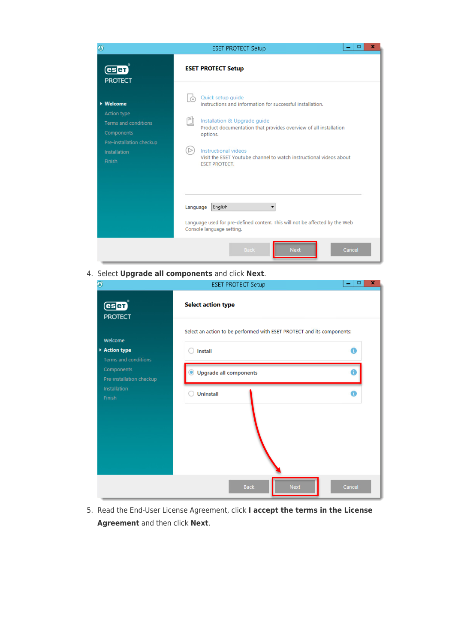| $\bullet$                                                                                                                          | x<br>о<br><b>ESET PROTECT Setup</b>                                                                                                                                                                                                                                                                                                                                              |
|------------------------------------------------------------------------------------------------------------------------------------|----------------------------------------------------------------------------------------------------------------------------------------------------------------------------------------------------------------------------------------------------------------------------------------------------------------------------------------------------------------------------------|
| (esen)<br><b>PROTECT</b>                                                                                                           | <b>ESET PROTECT Setup</b>                                                                                                                                                                                                                                                                                                                                                        |
| ▶ Welcome<br><b>Action type</b><br><b>Terms</b> and conditions<br>Components<br>Pre-installation checkup<br>Installation<br>Finish | Quick setup guide<br>$\odot$<br>Instructions and information for successful installation.<br>Fh<br>Installation & Upgrade guide<br>Product documentation that provides overview of all installation<br>options.<br>$\triangleright$<br>Instructional videos<br>Visit the ESET Youtube channel to watch instructional videos about<br><b>ESET PROTECT.</b><br>English<br>Language |
|                                                                                                                                    | Language used for pre-defined content. This will not be affected by the Web<br>Console language setting.                                                                                                                                                                                                                                                                         |
|                                                                                                                                    | <b>Back</b><br><b>Next</b><br>Cancel                                                                                                                                                                                                                                                                                                                                             |

4. Select **Upgrade all components** and click **Next**.

| Ø                                                     | <b>ESET PROTECT Setup</b>                                              | ×<br>□ |
|-------------------------------------------------------|------------------------------------------------------------------------|--------|
| <b>esen</b><br><b>PROTECT</b>                         | <b>Select action type</b>                                              |        |
|                                                       | Select an action to be performed with ESET PROTECT and its components: |        |
| Welcome<br>Action type<br><b>Terms and conditions</b> | Install                                                                | A      |
| Components<br>Pre-installation checkup                | <b>Upgrade all components</b><br>О                                     |        |
| Installation<br>Finish                                | <b>Uninstall</b>                                                       | A      |
|                                                       |                                                                        |        |
|                                                       |                                                                        |        |
|                                                       |                                                                        |        |
|                                                       | <b>Next</b><br><b>Back</b>                                             | Cancel |

5. Read the End-User License Agreement, click **I accept the terms in the License Agreement** and then click **Next**.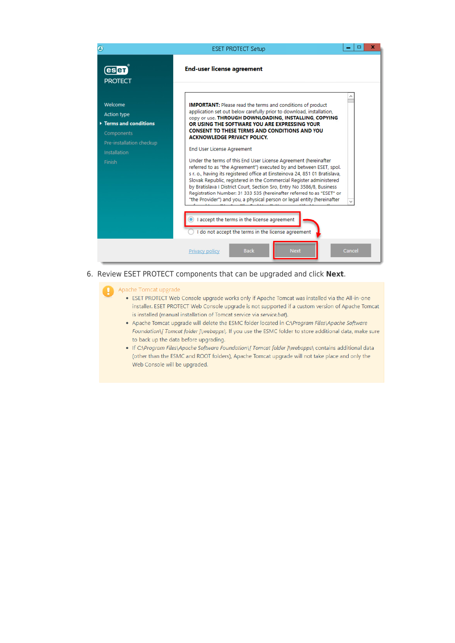

6. Review ESET PROTECT components that can be upgraded and click **Next**.

#### Apache Tomcat upgrade

- ESET PROTECT Web Console upgrade works only if Apache Tomcat was installed via the All-in-one installer. ESET PROTECT Web Console upgrade is not supported if a custom version of Apache Tomcat is installed (manual installation of Tomcat service via service.bat).
- . Apache Tomcat upgrade will delete the ESMC folder located in C:\Program Files\Apache Software Foundation\[ Tomcat folder ]\webapps\. If you use the ESMC folder to store additional data, make sure to back up the data before upgrading.
- If C:\Program Files\Apache Software Foundation\[ Tomcat folder ]\webapps\ contains additional data (other than the ESMC and ROOT folders), Apache Tomcat upgrade will not take place and only the Web Console will be upgraded.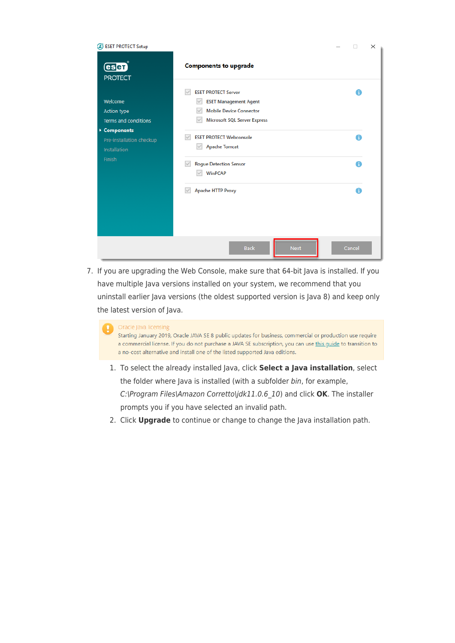| <b>ESET PROTECT Setup</b>                                    |                                                                                                                                                                                     | п      | × |
|--------------------------------------------------------------|-------------------------------------------------------------------------------------------------------------------------------------------------------------------------------------|--------|---|
| (eser)<br><b>PROTECT</b>                                     | <b>Components to upgrade</b>                                                                                                                                                        |        |   |
| Welcome<br><b>Action type</b><br><b>Terms and conditions</b> | <b>ESET PROTECT Server</b><br>$\checkmark$<br><b>ESET Management Agent</b><br>$\checkmark$<br><b>Mobile Device Connector</b><br><b>Microsoft SQL Server Express</b><br>$\checkmark$ | A      |   |
| ▶ Components<br>Pre-installation checkup<br>Installation     | <b>ESET PROTECT Webconsole</b><br>$\checkmark$<br><b>Apache Tomcat</b><br>$\vee$                                                                                                    | A      |   |
| Finish                                                       | <b>Rogue Detection Sensor</b><br>$\vee$<br><b>WinPCAP</b><br>$\checkmark$                                                                                                           | A      |   |
|                                                              | <b>Apache HTTP Proxy</b><br>$\checkmark$                                                                                                                                            | A      |   |
|                                                              |                                                                                                                                                                                     |        |   |
|                                                              | <b>Next</b><br><b>Back</b>                                                                                                                                                          | Cancel |   |

7. If you are upgrading the Web Console, make sure that 64-bit Java is installed. If you have multiple Java versions installed on your system, we recommend that you uninstall earlier Java versions (the oldest supported version is Java 8) and keep only the latest version of Java.

#### Oracle Java licensing

Starting January 2019, Oracle JAVA SE 8 public updates for business, commercial or production use require a commercial license. If you do not purchase a JAVA SE subscription, you can use this guide to transition to a no-cost alternative and install one of the listed supported Java editions.

- 1. To select the already installed Java, click **Select a Java installation**, select the folder where Java is installed (with a subfolder bin, for example, C:\Program Files\Amazon Corretto\jdk11.0.6\_10) and click **OK**. The installer prompts you if you have selected an invalid path.
- 2. Click **Upgrade** to continue or change to change the Java installation path.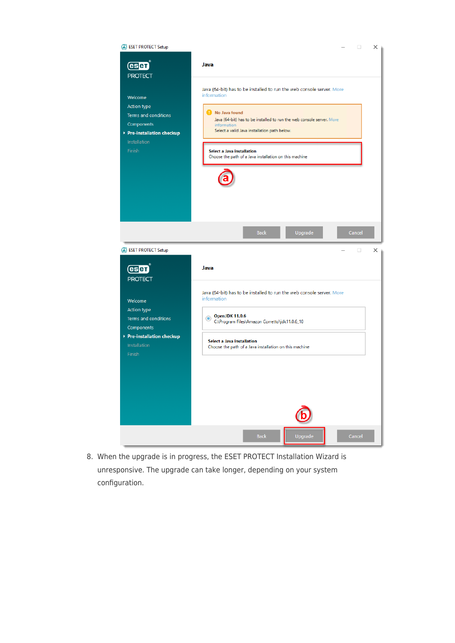

8. When the upgrade is in progress, the ESET PROTECT Installation Wizard is unresponsive. The upgrade can take longer, depending on your system configuration.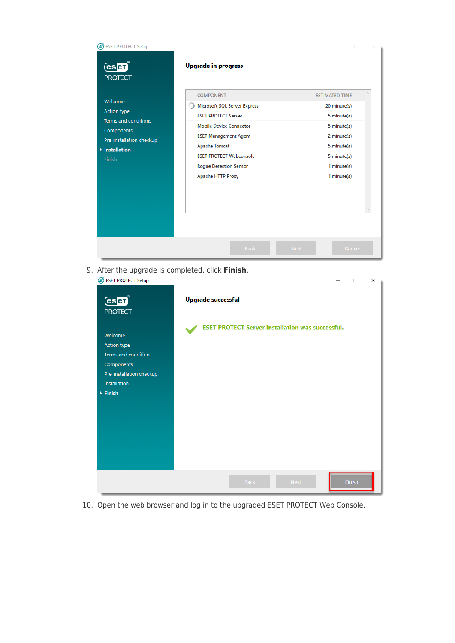| <b>B</b> ESET PROTECT Setup<br>(esen)<br><b>PROTECT</b>                                                                     | <b>Upgrade in progress</b>                                                                                                                                                                                                                                                     | П                                                                                                                                                   |
|-----------------------------------------------------------------------------------------------------------------------------|--------------------------------------------------------------------------------------------------------------------------------------------------------------------------------------------------------------------------------------------------------------------------------|-----------------------------------------------------------------------------------------------------------------------------------------------------|
| Welcome<br><b>Action type</b><br>Terms and conditions<br>Components<br>Pre-installation checkup<br>▶ Installation<br>Finish | <b>COMPONENT</b><br><b>Microsoft SQL Server Express</b><br><b>ESET PROTECT Server</b><br><b>Mobile Device Connector</b><br><b>ESET Management Agent</b><br><b>Apache Tomcat</b><br><b>ESET PROTECT Webconsole</b><br><b>Rogue Detection Sensor</b><br><b>Apache HTTP Proxy</b> | <b>ESTIMATED TIME</b><br>20 minute(s)<br>5 minute(s)<br>5 minute(s)<br>2 minute(s)<br>5 minute(s)<br>5 minute(s)<br>$1$ minute $(s)$<br>1 minute(s) |
|                                                                                                                             | <b>Back</b>                                                                                                                                                                                                                                                                    | <b>Next</b><br>Cancel                                                                                                                               |

9. After the upgrade is completed, click **Finish**.

| <b>ESET PROTECT Setup</b><br>Œ                                                                                                      | $\times$<br>$\Box$                                      |
|-------------------------------------------------------------------------------------------------------------------------------------|---------------------------------------------------------|
| $\overline{\text{C}}$<br><b>PROTECT</b>                                                                                             | <b>Upgrade successful</b>                               |
| Welcome<br>Action type<br>Terms and conditions<br>Components<br>Pre-installation checkup<br>Installation<br>$\triangleright$ Finish | <b>ESET PROTECT Server installation was successful.</b> |
|                                                                                                                                     | <b>Finish</b><br>Back<br><b>Next</b>                    |

10. Open the web browser and log in to the upgraded ESET PROTECT Web Console.